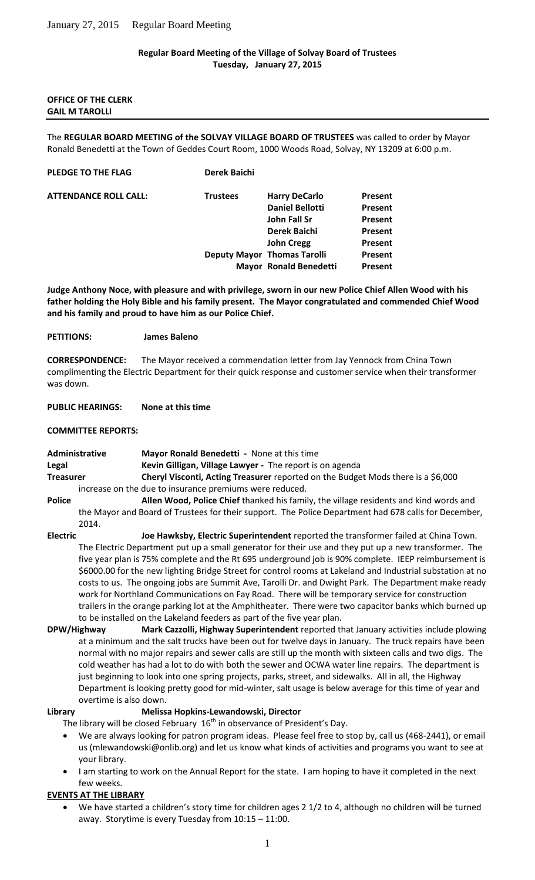### **Regular Board Meeting of the Village of Solvay Board of Trustees Tuesday, January 27, 2015**

### **OFFICE OF THE CLERK GAIL M TAROLLI**

The **REGULAR BOARD MEETING of the SOLVAY VILLAGE BOARD OF TRUSTEES** was called to order by Mayor Ronald Benedetti at the Town of Geddes Court Room, 1000 Woods Road, Solvay, NY 13209 at 6:00 p.m.

| <b>PLEDGE TO THE FLAG</b> | <b>Derek Baichi</b> |
|---------------------------|---------------------|
|                           |                     |

**ATTENDANCE ROLL CALL: Trustees Harry DeCarlo Present**

**Daniel Bellotti Present John Fall Sr Present Derek Baichi Present John Cregg Present Deputy Mayor Thomas Tarolli** Present **Mayor Ronald Benedetti Present**

**Judge Anthony Noce, with pleasure and with privilege, sworn in our new Police Chief Allen Wood with his father holding the Holy Bible and his family present. The Mayor congratulated and commended Chief Wood and his family and proud to have him as our Police Chief.** 

## **PETITIONS: James Baleno**

**CORRESPONDENCE:** The Mayor received a commendation letter from Jay Yennock from China Town complimenting the Electric Department for their quick response and customer service when their transformer was down.

## **PUBLIC HEARINGS: None at this time**

# **COMMITTEE REPORTS:**

**Administrative Mayor Ronald Benedetti -** None at this time **Legal Kevin Gilligan, Village Lawyer -** The report is on agenda **Treasurer <b>Cheryl Visconti, Acting Treasurer** reported on the Budget Mods there is a \$6,000 increase on the due to insurance premiums were reduced. **Police Allen Wood, Police Chief** thanked his family, the village residents and kind words and

- the Mayor and Board of Trustees for their support. The Police Department had 678 calls for December, 2014.
- **Electric Joe Hawksby, Electric Superintendent** reported the transformer failed at China Town. The Electric Department put up a small generator for their use and they put up a new transformer. The five year plan is 75% complete and the Rt 695 underground job is 90% complete. IEEP reimbursement is \$6000.00 for the new lighting Bridge Street for control rooms at Lakeland and Industrial substation at no costs to us. The ongoing jobs are Summit Ave, Tarolli Dr. and Dwight Park. The Department make ready work for Northland Communications on Fay Road. There will be temporary service for construction trailers in the orange parking lot at the Amphitheater. There were two capacitor banks which burned up to be installed on the Lakeland feeders as part of the five year plan.
- **DPW/Highway Mark Cazzolli, Highway Superintendent** reported that January activities include plowing at a minimum and the salt trucks have been out for twelve days in January. The truck repairs have been normal with no major repairs and sewer calls are still up the month with sixteen calls and two digs. The cold weather has had a lot to do with both the sewer and OCWA water line repairs. The department is just beginning to look into one spring projects, parks, street, and sidewalks. All in all, the Highway Department is looking pretty good for mid-winter, salt usage is below average for this time of year and overtime is also down.

## **Library Melissa Hopkins-Lewandowski, Director**

The library will be closed February  $16<sup>th</sup>$  in observance of President's Day.

- We are always looking for patron program ideas. Please feel free to stop by, call us (468-2441), or email us (mlewandowski@onlib.org) and let us know what kinds of activities and programs you want to see at your library.
- I am starting to work on the Annual Report for the state. I am hoping to have it completed in the next few weeks.

## **EVENTS AT THE LIBRARY**

 We have started a children's story time for children ages 2 1/2 to 4, although no children will be turned away. Storytime is every Tuesday from 10:15 – 11:00.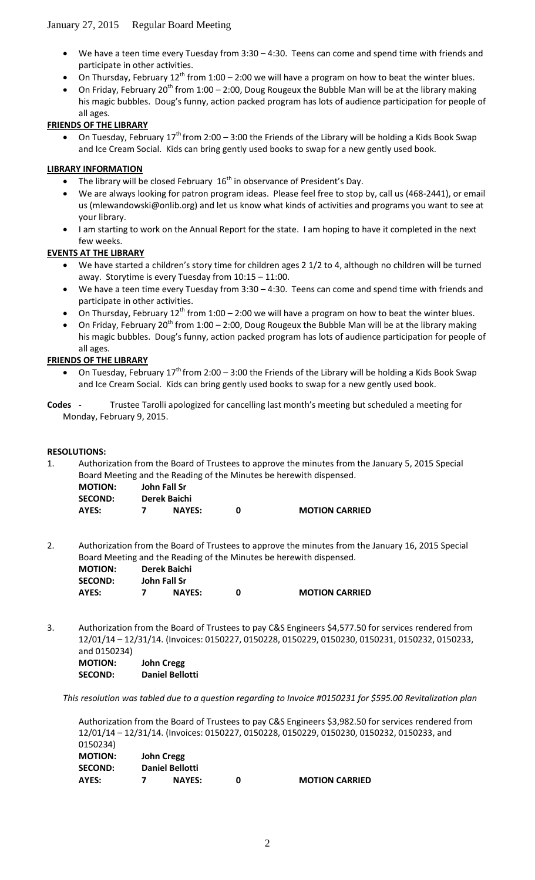- We have a teen time every Tuesday from 3:30 4:30. Teens can come and spend time with friends and participate in other activities.
- On Thursday, February 12<sup>th</sup> from 1:00 2:00 we will have a program on how to beat the winter blues.
- On Friday, February 20<sup>th</sup> from 1:00 2:00, Doug Rougeux the Bubble Man will be at the library making his magic bubbles. Doug's funny, action packed program has lots of audience participation for people of all ages.

# **FRIENDS OF THE LIBRARY**

On Tuesday, February  $17^{th}$  from 2:00 – 3:00 the Friends of the Library will be holding a Kids Book Swap and Ice Cream Social. Kids can bring gently used books to swap for a new gently used book.

## **LIBRARY INFORMATION**

- The library will be closed February  $16<sup>th</sup>$  in observance of President's Day.
- We are always looking for patron program ideas. Please feel free to stop by, call us (468-2441), or email us (mlewandowski@onlib.org) and let us know what kinds of activities and programs you want to see at your library.
- I am starting to work on the Annual Report for the state. I am hoping to have it completed in the next few weeks.

# **EVENTS AT THE LIBRARY**

- We have started a children's story time for children ages 2 1/2 to 4, although no children will be turned away. Storytime is every Tuesday from 10:15 – 11:00.
- We have a teen time every Tuesday from 3:30 4:30. Teens can come and spend time with friends and participate in other activities.
- On Thursday, February 12<sup>th</sup> from 1:00 2:00 we will have a program on how to beat the winter blues.
- On Friday, February 20<sup>th</sup> from 1:00 2:00, Doug Rougeux the Bubble Man will be at the library making his magic bubbles. Doug's funny, action packed program has lots of audience participation for people of all ages.

# **FRIENDS OF THE LIBRARY**

- On Tuesday, February 17<sup>th</sup> from 2:00 3:00 the Friends of the Library will be holding a Kids Book Swap and Ice Cream Social. Kids can bring gently used books to swap for a new gently used book.
- **Codes -** Trustee Tarolli apologized for cancelling last month's meeting but scheduled a meeting for Monday, February 9, 2015.

## **RESOLUTIONS:**

1. Authorization from the Board of Trustees to approve the minutes from the January 5, 2015 Special Board Meeting and the Reading of the Minutes be herewith dispensed.

| <b>MOTION:</b> | John Fall Sr  |                       |
|----------------|---------------|-----------------------|
| <b>SECOND:</b> | Derek Baichi  |                       |
| AYES:          | <b>NAYES:</b> | <b>MOTION CARRIED</b> |

2. Authorization from the Board of Trustees to approve the minutes from the January 16, 2015 Special Board Meeting and the Reading of the Minutes be herewith dispensed.

| <b>MOTION:</b> | Derek Baichi  |                       |
|----------------|---------------|-----------------------|
| <b>SECOND:</b> | John Fall Sr  |                       |
| AYES:          | <b>NAYES:</b> | <b>MOTION CARRIED</b> |

3. Authorization from the Board of Trustees to pay C&S Engineers \$4,577.50 for services rendered from 12/01/14 – 12/31/14. (Invoices: 0150227, 0150228, 0150229, 0150230, 0150231, 0150232, 0150233, and 0150234) **MOTION: John Cregg**

**SECOND: Daniel Bellotti**

*This resolution was tabled due to a question regarding to Invoice #0150231 for \$595.00 Revitalization plan* 

Authorization from the Board of Trustees to pay C&S Engineers \$3,982.50 for services rendered from 12/01/14 – 12/31/14. (Invoices: 0150227, 0150228, 0150229, 0150230, 0150232, 0150233, and 0150234) **MOTION: John Cregg SECOND: Daniel Bellotti**

| SELUND: | Daniel Bellotti |                       |
|---------|-----------------|-----------------------|
| AYES:   | <b>NAYES:</b>   | <b>MOTION CARRIED</b> |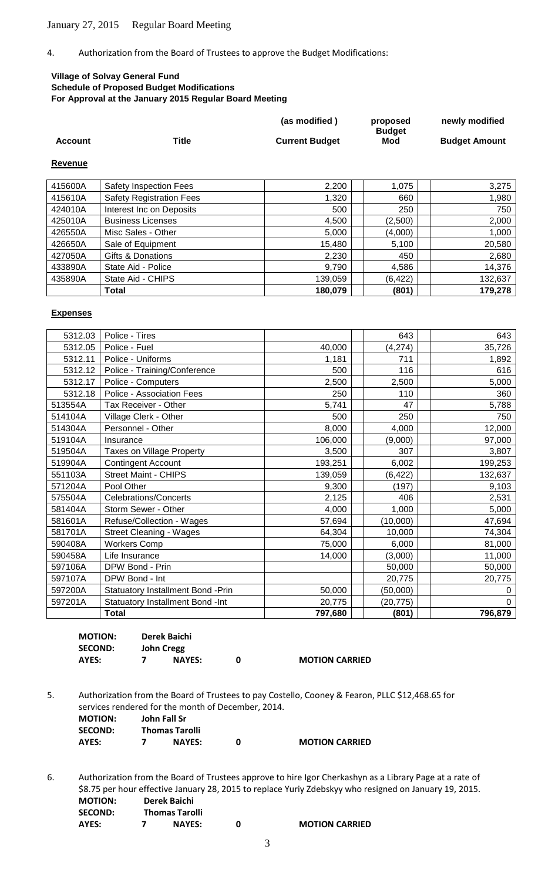4. Authorization from the Board of Trustees to approve the Budget Modifications:

### **Village of Solvay General Fund Schedule of Proposed Budget Modifications For Approval at the January 2015 Regular Board Meeting**

|                |       | (as modified)         | proposed      | newly modified       |
|----------------|-------|-----------------------|---------------|----------------------|
|                |       |                       | <b>Budget</b> |                      |
| <b>Account</b> | Title | <b>Current Budget</b> | Mod           | <b>Budget Amount</b> |
|                |       |                       |               |                      |
|                |       |                       |               |                      |

#### **Revenue**

| 415600A | Safety Inspection Fees          | 2,200   | 1,075    | 3,275   |
|---------|---------------------------------|---------|----------|---------|
| 415610A | <b>Safety Registration Fees</b> | 1,320   | 660      | 1,980   |
| 424010A | Interest Inc on Deposits        | 500     | 250      | 750     |
| 425010A | <b>Business Licenses</b>        | 4,500   | (2,500)  | 2,000   |
| 426550A | Misc Sales - Other              | 5,000   | (4,000)  | 1,000   |
| 426650A | Sale of Equipment               | 15,480  | 5,100    | 20,580  |
| 427050A | Gifts & Donations               | 2,230   | 450      | 2,680   |
| 433890A | State Aid - Police              | 9,790   | 4,586    | 14,376  |
| 435890A | State Aid - CHIPS               | 139,059 | (6, 422) | 132,637 |
|         | Total                           | 180,079 | (801)    | 179,278 |

#### **Expenses**

| 5312.03 | Police - Tires                     |         | 643       | 643            |
|---------|------------------------------------|---------|-----------|----------------|
| 5312.05 | Police - Fuel                      | 40,000  | (4, 274)  | 35,726         |
| 5312.11 | Police - Uniforms                  | 1,181   | 711       | 1,892          |
| 5312.12 | Police - Training/Conference       | 500     | 116       | 616            |
| 5312.17 | Police - Computers                 | 2,500   | 2,500     | 5,000          |
| 5312.18 | Police - Association Fees          | 250     | 110       | 360            |
| 513554A | Tax Receiver - Other               | 5,741   | 47        | 5,788          |
| 514104A | Village Clerk - Other              | 500     | 250       | 750            |
| 514304A | Personnel - Other                  | 8,000   | 4,000     | 12,000         |
| 519104A | Insurance                          | 106,000 | (9,000)   | 97,000         |
| 519504A | <b>Taxes on Village Property</b>   | 3,500   | 307       | 3,807          |
| 519904A | <b>Contingent Account</b>          | 193,251 | 6,002     | 199,253        |
| 551103A | <b>Street Maint - CHIPS</b>        | 139,059 | (6, 422)  | 132,637        |
| 571204A | Pool Other                         | 9,300   | (197)     | 9,103          |
| 575504A | <b>Celebrations/Concerts</b>       | 2,125   | 406       | 2,531          |
| 581404A | Storm Sewer - Other                | 4,000   | 1,000     | 5,000          |
| 581601A | Refuse/Collection - Wages          | 57,694  | (10,000)  | 47,694         |
| 581701A | <b>Street Cleaning - Wages</b>     | 64,304  | 10,000    | 74,304         |
| 590408A | <b>Workers Comp</b>                | 75,000  | 6,000     | 81,000         |
| 590458A | Life Insurance                     | 14,000  | (3,000)   | 11,000         |
| 597106A | DPW Bond - Prin                    |         | 50,000    | 50,000         |
| 597107A | DPW Bond - Int                     |         | 20,775    | 20,775         |
| 597200A | Statuatory Installment Bond - Prin | 50,000  | (50,000)  | 0              |
| 597201A | Statuatory Installment Bond -Int   | 20,775  | (20, 775) | $\overline{0}$ |
|         | <b>Total</b>                       | 797,680 | (801)     | 796,879        |

| <b>MOTION:</b> | Derek Baichi  |                       |
|----------------|---------------|-----------------------|
| <b>SECOND:</b> | John Cregg    |                       |
| AYES:          | <b>NAYES:</b> | <b>MOTION CARRIED</b> |

5. Authorization from the Board of Trustees to pay Costello, Cooney & Fearon, PLLC \$12,468.65 for services rendered for the month of December, 2014.

| <b>MOTION:</b> | John Fall Sr          |                       |
|----------------|-----------------------|-----------------------|
| <b>SECOND:</b> | <b>Thomas Tarolli</b> |                       |
| AYES:          | <b>NAYES:</b>         | <b>MOTION CARRIED</b> |

6. Authorization from the Board of Trustees approve to hire Igor Cherkashyn as a Library Page at a rate of \$8.75 per hour effective January 28, 2015 to replace Yuriy Zdebskyy who resigned on January 19, 2015. **MOTION: Derek Baichi SECOND: Thomas Tarolli AYES: 7 NAYES: 0 MOTION CARRIED**